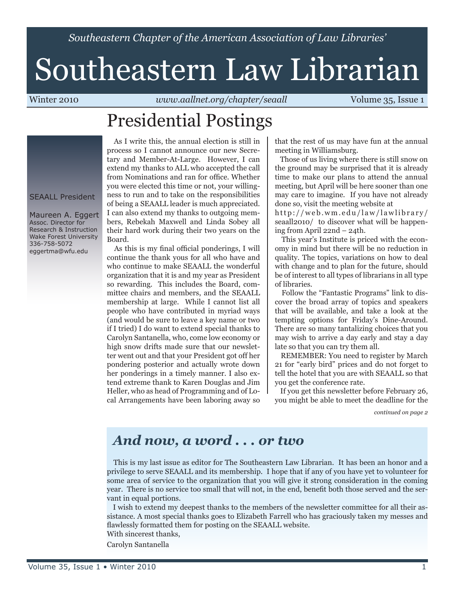*Southeastern Chapter of the American Association of Law Libraries'*

# Southeastern Law Librarian

Winter 2010 *www.aallnet.org/chapter/seaall* **Volume 35, Issue 1** 

## Presidential Postings

#### SEAALL President

Maureen A. Eggert Assoc. Director for Research & Instruction Wake Forest University 336-758-5072 eggertma@wfu.edu

 As I write this, the annual election is still in process so I cannot announce our new Secretary and Member-At-Large. However, I can extend my thanks to ALL who accepted the call from Nominations and ran for office. Whether you were elected this time or not, your willingness to run and to take on the responsibilities of being a SEAALL leader is much appreciated. I can also extend my thanks to outgoing members, Rebekah Maxwell and Linda Sobey all their hard work during their two years on the Board.

 As this is my final official ponderings, I will continue the thank yous for all who have and who continue to make SEAALL the wonderful organization that it is and my year as President so rewarding. This includes the Board, committee chairs and members, and the SEAALL membership at large. While I cannot list all people who have contributed in myriad ways (and would be sure to leave a key name or two if I tried) I do want to extend special thanks to Carolyn Santanella, who, come low economy or high snow drifts made sure that our newsletter went out and that your President got off her pondering posterior and actually wrote down her ponderings in a timely manner. I also extend extreme thank to Karen Douglas and Jim Heller, who as head of Programming and of Local Arrangements have been laboring away so that the rest of us may have fun at the annual meeting in Williamsburg.

 Those of us living where there is still snow on the ground may be surprised that it is already time to make our plans to attend the annual meeting, but April will be here sooner than one may care to imagine. If you have not already done so, visit the meeting website at

http://web.wm.edu/law/lawlibrary/ seaall2010/ to discover what will be happening from April 22nd – 24th.

 This year's Institute is priced with the economy in mind but there will be no reduction in quality. The topics, variations on how to deal with change and to plan for the future, should be of interest to all types of librarians in all type of libraries.

 Follow the "Fantastic Programs" link to discover the broad array of topics and speakers that will be available, and take a look at the tempting options for Friday's Dine-Around. There are so many tantalizing choices that you may wish to arrive a day early and stay a day late so that you can try them all.

 REMEMBER: You need to register by March 21 for "early bird" prices and do not forget to tell the hotel that you are with SEAALL so that you get the conference rate.

 If you get this newsletter before February 26, you might be able to meet the deadline for the

*continued on page 2*

### *And now, a word . . . or two*

 This is my last issue as editor for The Southeastern Law Librarian. It has been an honor and a privilege to serve SEAALL and its membership. I hope that if any of you have yet to volunteer for some area of service to the organization that you will give it strong consideration in the coming year. There is no service too small that will not, in the end, benefit both those served and the servant in equal portions.

 I wish to extend my deepest thanks to the members of the newsletter committee for all their assistance. A most special thanks goes to Elizabeth Farrell who has graciously taken my messes and flawlessly formatted them for posting on the SEAALL website.

With sincerest thanks,

Carolyn Santanella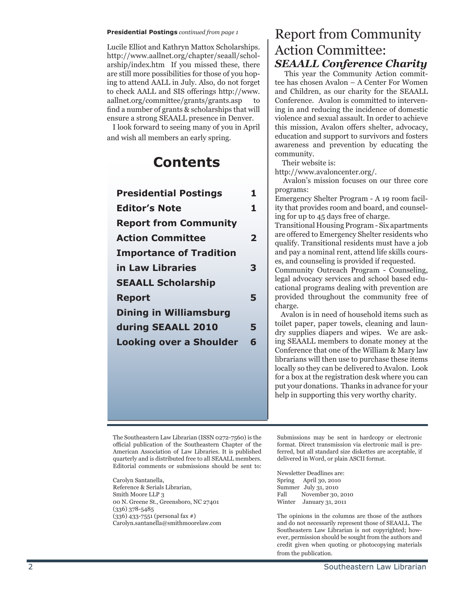#### **Presidential Postings** *continued from page 1*

Lucile Elliot and Kathryn Mattox Scholarships. http://www.aallnet.org/chapter/seaall/schol arship/index.htm If you missed these, there are still more possibilities for those of you hop ing to attend AALL in July. Also, do not forget to check AALL and SIS offerings http://www. aallnet.org/committee/grants/grants.asp to find a number of grants & scholarships that will ensure a strong SEAALL presence in Denver.

 I look forward to seeing many of you in April and wish all members an early spring.

## **Contents**

| <b>Presidential Postings</b>   | 1 |
|--------------------------------|---|
| <b>Editor's Note</b>           | 1 |
| <b>Report from Community</b>   |   |
| <b>Action Committee</b>        | 2 |
| <b>Importance of Tradition</b> |   |
| in Law Libraries               | 3 |
| <b>SEAALL Scholarship</b>      |   |
| <b>Report</b>                  | 5 |
| <b>Dining in Williamsburg</b>  |   |
| during SEAALL 2010             | 5 |
| <b>Looking over a Shoulder</b> | 6 |
|                                |   |
|                                |   |

#### Report from Community Action Committee: *SEAALL Conference Charity*

 This year the Community Action commit tee has chosen Avalon – A Center For Women and Children, as our charity for the SEAALL Conference. Avalon is committed to interven ing in and reducing the incidence of domestic violence and sexual assault. In order to achieve this mission, Avalon offers shelter, advocacy, education and support to survivors and fosters awareness and prevention by educating the community.

Their website is:

http://www.avaloncenter.org/.

 Avalon's mission focuses on our three core programs:

Emergency Shelter Program - A 19 room facil ity that provides room and board, and counsel ing for up to 45 days free of charge.

Transitional Housing Program - Six apartments are offered to Emergency Shelter residents who qualify. Transitional residents must have a job and pay a nominal rent, attend life skills cours es, and counseling is provided if requested.

Community Outreach Program - Counseling, legal advocacy services and school based edu cational programs dealing with prevention are provided throughout the community free of charge.

 Avalon is in need of household items such as toilet paper, paper towels, cleaning and laun dry supplies diapers and wipes. We are ask ing SEAALL members to donate money at the Conference that one of the William & Mary law librarians will then use to purchase these items locally so they can be delivered to Avalon. Look for a box at the registration desk where you can put your donations. Thanks in advance for your help in supporting this very worthy charity.

The Southeastern Law Librarian (ISSN 0272-7560) is the official publication of the Southeastern Chapter of the American Association of Law Libraries. It is published quarterly and is distributed free to all SEAALL members. Editorial comments or submissions should be sent to:

Carolyn Santanella, Reference & Serials Librarian, Smith Moore LLP 3 00 N. Greene St., Greensboro, NC 27401 (336) 378-5485 (336) 433-7551 (personal fax #) Carolyn.santanella@smithmoorelaw.com

Submissions may be sent in hardcopy or electronic format. Direct transmission via electronic mail is pre ferred, but all standard size diskettes are acceptable, if delivered in Word, or plain ASCII format.

Newsletter Deadlines are: Spring April 30, 2010 Summer July 31, 2010<br>Fall November 30, November 30, 2010 Winter January 31, 2011

The opinions in the columns are those of the authors and do not necessarily represent those of SEAALL. The Southeastern Law Librarian is not copyrighted; how ever, permission should be sought from the authors and credit given when quoting or photocopying materials from the publication.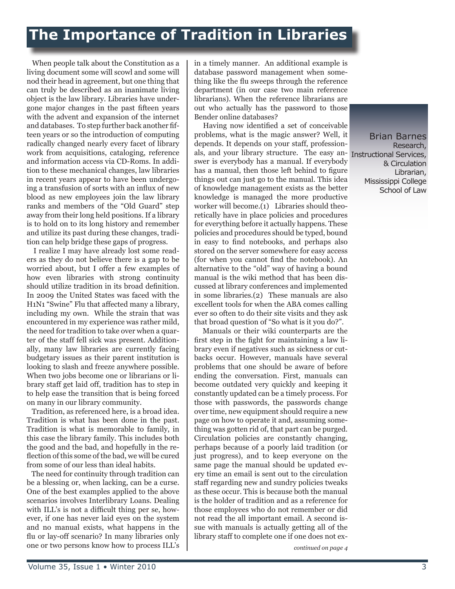When people talk about the Constitution as a living document some will scowl and some will nod their head in agreement, but one thing that can truly be described as an inanimate living object is the law library. Libraries have undergone major changes in the past fifteen years with the advent and expansion of the internet and databases. To step further back another fifteen years or so the introduction of computing radically changed nearly every facet of library work from acquisitions, cataloging, reference and information access via CD-Roms. In addition to these mechanical changes, law libraries in recent years appear to have been undergoing a transfusion of sorts with an influx of new blood as new employees join the law library ranks and members of the "Old Guard" step away from their long held positions. If a library is to hold on to its long history and remember and utilize its past during these changes, tradition can help bridge these gaps of progress.

 I realize I may have already lost some readers as they do not believe there is a gap to be worried about, but I offer a few examples of how even libraries with strong continuity should utilize tradition in its broad definition. In 2009 the United States was faced with the H1N1 "Swine" Flu that affected many a library, including my own. While the strain that was encountered in my experience was rather mild, the need for tradition to take over when a quarter of the staff fell sick was present. Additionally, many law libraries are currently facing budgetary issues as their parent institution is looking to slash and freeze anywhere possible. When two jobs become one or librarians or library staff get laid off, tradition has to step in to help ease the transition that is being forced on many in our library community.

 Tradition, as referenced here, is a broad idea. Tradition is what has been done in the past. Tradition is what is memorable to family, in this case the library family. This includes both the good and the bad, and hopefully in the reflection of this some of the bad, we will be cured from some of our less than ideal habits.

 The need for continuity through tradition can be a blessing or, when lacking, can be a curse. One of the best examples applied to the above scenarios involves Interlibrary Loans. Dealing with ILL's is not a difficult thing per se, howand no manual exists, what happens in the flu or lay-off scenario? In many libraries only one or two persons know how to process ILL's in a timely manner. An additional example is database password management when something like the flu sweeps through the reference department (in our case two main reference librarians). When the reference librarians are out who actually has the password to those Bender online databases?

als, and your library structure. The easy an-Instructional Services, Having now identified a set of conceivable problems, what is the magic answer? Well, it depends. It depends on your staff, professionswer is everybody has a manual. If everybody has a manual, then those left behind to figure things out can just go to the manual. This idea of knowledge management exists as the better knowledge is managed the more productive worker will become.(1) Libraries should theoretically have in place policies and procedures for everything before it actually happens. These policies and procedures should be typed, bound in easy to find notebooks, and perhaps also stored on the server somewhere for easy access (for when you cannot find the notebook). An alternative to the "old" way of having a bound manual is the wiki method that has been discussed at library conferences and implemented in some libraries.(2) These manuals are also excellent tools for when the ABA comes calling ever so often to do their site visits and they ask that broad question of "So what is it you do?".

 Manuals or their wiki counterparts are the first step in the fight for maintaining a law library even if negatives such as sickness or cutbacks occur. However, manuals have several problems that one should be aware of before ending the conversation. First, manuals can become outdated very quickly and keeping it constantly updated can be a timely process. For those with passwords, the passwords change over time, new equipment should require a new page on how to operate it and, assuming something was gotten rid of, that part can be purged. Circulation policies are constantly changing, perhaps because of a poorly laid tradition (or just progress), and to keep everyone on the same page the manual should be updated every time an email is sent out to the circulation staff regarding new and sundry policies tweaks as these occur. This is because both the manual is the holder of tradition and as a reference for those employees who do not remember or did not read the all important email. A second issue with manuals is actually getting all of the library staff to complete one if one does not ex-

Brian Barnes Research, & Circulation Librarian, Mississippi College School of Law

*continued on page 4*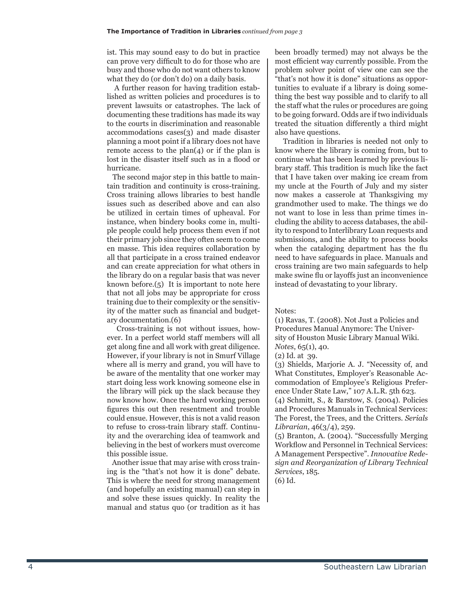ist. This may sound easy to do but in practice can prove very difficult to do for those who are busy and those who do not want others to know what they do (or don't do) on a daily basis.

 A further reason for having tradition established as written policies and procedures is to prevent lawsuits or catastrophes. The lack of documenting these traditions has made its way to the courts in discrimination and reasonable accommodations cases(3) and made disaster planning a moot point if a library does not have remote access to the  $plan(4)$  or if the plan is lost in the disaster itself such as in a flood or hurricane.

 The second major step in this battle to maintain tradition and continuity is cross-training. Cross training allows libraries to best handle issues such as described above and can also be utilized in certain times of upheaval. For instance, when bindery books come in, multiple people could help process them even if not their primary job since they often seem to come en masse. This idea requires collaboration by all that participate in a cross trained endeavor and can create appreciation for what others in the library do on a regular basis that was never known before.(5) It is important to note here that not all jobs may be appropriate for cross training due to their complexity or the sensitivity of the matter such as financial and budgetary documentation.(6)

 Cross-training is not without issues, however. In a perfect world staff members will all get along fine and all work with great diligence. However, if your library is not in Smurf Village where all is merry and grand, you will have to be aware of the mentality that one worker may start doing less work knowing someone else in the library will pick up the slack because they now know how. Once the hard working person figures this out then resentment and trouble could ensue. However, this is not a valid reason to refuse to cross-train library staff. Continuity and the overarching idea of teamwork and believing in the best of workers must overcome this possible issue.

 Another issue that may arise with cross training is the "that's not how it is done" debate. This is where the need for strong management (and hopefully an existing manual) can step in and solve these issues quickly. In reality the manual and status quo (or tradition as it has been broadly termed) may not always be the most efficient way currently possible. From the problem solver point of view one can see the "that's not how it is done" situations as opportunities to evaluate if a library is doing something the best way possible and to clarify to all the staff what the rules or procedures are going to be going forward. Odds are if two individuals treated the situation differently a third might also have questions.

 Tradition in libraries is needed not only to know where the library is coming from, but to continue what has been learned by previous library staff. This tradition is much like the fact that I have taken over making ice cream from my uncle at the Fourth of July and my sister now makes a casserole at Thanksgiving my grandmother used to make. The things we do not want to lose in less than prime times including the ability to access databases, the ability to respond to Interlibrary Loan requests and submissions, and the ability to process books when the cataloging department has the flu need to have safeguards in place. Manuals and cross training are two main safeguards to help make swine flu or layoffs just an inconvenience instead of devastating to your library.

Notes:

(1) Ravas, T. (2008). Not Just a Policies and Procedures Manual Anymore: The University of Houston Music Library Manual Wiki. *Notes*, 65(1), 40.

(2) Id. at 39.

(3) Shields, Marjorie A. J. "Necessity of, and What Constitutes, Employer's Reasonable Accommodation of Employee's Religious Preference Under State Law," 107 A.L.R. 5th 623.

(4) Schmitt, S., & Barstow, S. (2004). Policies and Procedures Manuals in Technical Services: The Forest, the Trees, and the Critters. *Serials Librarian*, 46(3/4), 259.

(5) Branton, A. (2004). "Successfully Merging Workflow and Personnel in Technical Services: A Management Perspective". *Innovative Redesign and Reorganization of Library Technical Services*, 185.

(6) Id.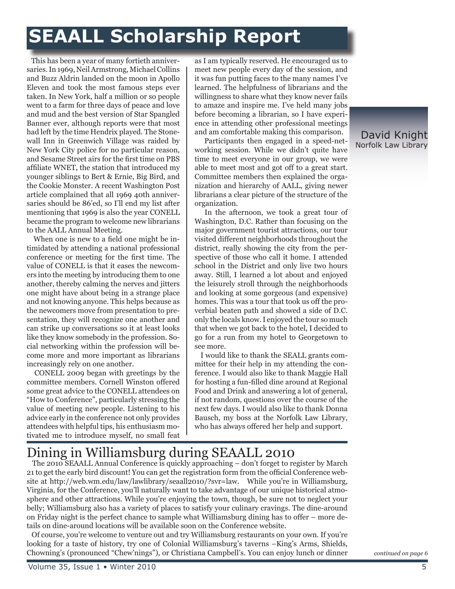# **SEAALL Scholarship Report**

 This has been a year of many fortieth anniversaries. In 1969, Neil Armstrong, Michael Collins and Buzz Aldrin landed on the moon in Apollo Eleven and took the most famous steps ever taken. In New York, half a million or so people went to a farm for three days of peace and love and mud and the best version of Star Spangled Banner ever, although reports were that most had left by the time Hendrix played. The Stonewall Inn in Greenwich Village was raided by New York City police for no particular reason, and Sesame Street airs for the first time on PBS affiliate WNET, the station that introduced my younger siblings to Bert & Ernie, Big Bird, and the Cookie Monster. A recent Washington Post article complained that all 1969 40th anniversaries should be 86'ed, so I'll end my list after mentioning that 1969 is also the year CONELL became the program to welcome new librarians to the AALL Annual Meeting.

 When one is new to a field one might be intimidated by attending a national professional conference or meeting for the first time. The value of CONELL is that it eases the newcomers into the meeting by introducing them to one another, thereby calming the nerves and jitters one might have about being in a strange place and not knowing anyone. This helps because as the newcomers move from presentation to presentation, they will recognize one another and can strike up conversations so it at least looks like they know somebody in the profession. Social networking within the profession will become more and more important as librarians increasingly rely on one another.

 CONELL 2009 began with greetings by the committee members. Cornell Winston offered some great advice to the CONELL attendees on "How to Conference", particularly stressing the value of meeting new people. Listening to his advice early in the conference not only provides attendees with helpful tips, his enthusiasm motivated me to introduce myself, no small feat as I am typically reserved. He encouraged us to meet new people every day of the session, and it was fun putting faces to the many names I've learned. The helpfulness of librarians and the willingness to share what they know never fails to amaze and inspire me. I've held many jobs before becoming a librarian, so I have experience in attending other professional meetings and am comfortable making this comparison.

 Participants then engaged in a speed-networking session. While we didn't quite have time to meet everyone in our group, we were able to meet most and got off to a great start. Committee members then explained the organization and hierarchy of AALL, giving newer librarians a clear picture of the structure of the organization.

 In the afternoon, we took a great tour of Washington, D.C. Rather than focusing on the major government tourist attractions, our tour visited different neighborhoods throughout the district, really showing the city from the perspective of those who call it home. I attended school in the District and only live two hours away. Still, I learned a lot about and enjoyed the leisurely stroll through the neighborhoods and looking at some gorgeous (and expensive) homes. This was a tour that took us off the proverbial beaten path and showed a side of D.C. only the locals know. I enjoyed the tour so much that when we got back to the hotel, I decided to go for a run from my hotel to Georgetown to see more.

 I would like to thank the SEALL grants committee for their help in my attending the conference. I would also like to thank Maggie Hall for hosting a fun-filled dine around at Regional Food and Drink and answering a lot of general, if not random, questions over the course of the next few days. I would also like to thank Donna Bausch, my boss at the Norfolk Law Library, who has always offered her help and support.

## Dining in Williamsburg during SEAALL 2010

 The 2010 SEAALL Annual Conference is quickly approaching – don't forget to register by March 21 to get the early bird discount! You can get the registration form from the official Conference website at http://web.wm.edu/law/lawlibrary/seaall2010/?svr=law. While you're in Williamsburg, Virginia, for the Conference, you'll naturally want to take advantage of our unique historical atmosphere and other attractions. While you're enjoying the town, though, be sure not to neglect your belly; Williamsburg also has a variety of places to satisfy your culinary cravings. The dine-around on Friday night is the perfect chance to sample what Williamsburg dining has to offer – more details on dine-around locations will be available soon on the Conference website.

 Of course, you're welcome to venture out and try Williamsburg restaurants on your own. If you're looking for a taste of history, try one of Colonial Williamsburg's taverns –King's Arms, Shields, Chowning's (pronounced "Chew'nings"), or Christiana Campbell's. You can enjoy lunch or dinner

*continued on page 6*

#### David Knight Norfolk Law Library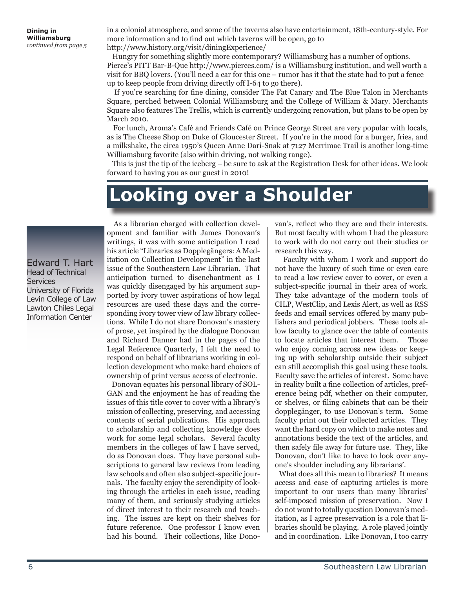in a colonial atmosphere, and some of the taverns also have entertainment, 18th-century-style. For more information and to find out which taverns will be open, go to http://www.history.org/visit/diningExperience/

 Hungry for something slightly more contemporary? Williamsburg has a number of options. Pierce's PITT Bar-B-Que http://www.pierces.com/ is a Williamsburg institution, and well worth a visit for BBQ lovers. (You'll need a car for this one – rumor has it that the state had to put a fence up to keep people from driving directly off I-64 to go there).

 If you're searching for fine dining, consider The Fat Canary and The Blue Talon in Merchants Square, perched between Colonial Williamsburg and the College of William & Mary. Merchants Square also features The Trellis, which is currently undergoing renovation, but plans to be open by March 2010.

 For lunch, Aroma's Café and Friends Café on Prince George Street are very popular with locals, as is The Cheese Shop on Duke of Gloucester Street. If you're in the mood for a burger, fries, and a milkshake, the circa 1950's Queen Anne Dari-Snak at 7127 Merrimac Trail is another long-time Williamsburg favorite (also within driving, not walking range).

 This is just the tip of the iceberg – be sure to ask at the Registration Desk for other ideas. We look forward to having you as our guest in 2010!

# **Looking over a Shoulder**

Edward T. Hart Head of Technical **Services** University of Florida Levin College of Law Lawton Chiles Legal Information Center

 As a librarian charged with collection development and familiar with James Donovan's writings, it was with some anticipation I read his article "Libraries as Dopplegängers: A Meditation on Collection Development" in the last issue of the Southeastern Law Librarian. That anticipation turned to disenchantment as I was quickly disengaged by his argument supported by ivory tower aspirations of how legal resources are used these days and the corresponding ivory tower view of law library collections. While I do not share Donovan's mastery of prose, yet inspired by the dialogue Donovan and Richard Danner had in the pages of the Legal Reference Quarterly, I felt the need to respond on behalf of librarians working in collection development who make hard choices of ownership of print versus access of electronic.

 Donovan equates his personal library of SOL-GAN and the enjoyment he has of reading the issues of this title cover to cover with a library's mission of collecting, preserving, and accessing contents of serial publications. His approach to scholarship and collecting knowledge does work for some legal scholars. Several faculty members in the colleges of law I have served, do as Donovan does. They have personal subscriptions to general law reviews from leading law schools and often also subject-specific journals. The faculty enjoy the serendipity of looking through the articles in each issue, reading many of them, and seriously studying articles of direct interest to their research and teaching. The issues are kept on their shelves for future reference. One professor I know even had his bound. Their collections, like Donovan's, reflect who they are and their interests. But most faculty with whom I had the pleasure to work with do not carry out their studies or research this way.

 Faculty with whom I work and support do not have the luxury of such time or even care to read a law review cover to cover, or even a subject-specific journal in their area of work. They take advantage of the modern tools of CILP, WestClip, and Lexis Alert, as well as RSS feeds and email services offered by many publishers and periodical jobbers. These tools allow faculty to glance over the table of contents to locate articles that interest them. Those who enjoy coming across new ideas or keeping up with scholarship outside their subject can still accomplish this goal using these tools. Faculty save the articles of interest. Some have in reality built a fine collection of articles, preference being pdf, whether on their computer, or shelves, or filing cabinets that can be their dopplegänger, to use Donovan's term. Some faculty print out their collected articles. They want the hard copy on which to make notes and annotations beside the text of the articles, and then safely file away for future use. They, like Donovan, don't like to have to look over anyone's shoulder including any librarians'.

 What does all this mean to libraries? It means access and ease of capturing articles is more important to our users than many libraries' self-imposed mission of preservation. Now I do not want to totally question Donovan's meditation, as I agree preservation is a role that libraries should be playing. A role played jointly and in coordination. Like Donovan, I too carry